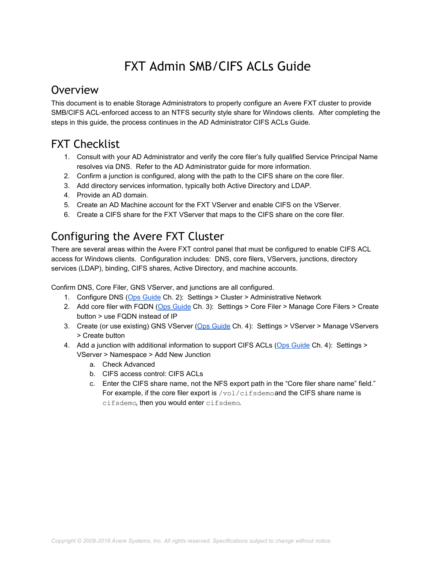## FXT Admin SMB/CIFS ACLs Guide

## **Overview**

This document is to enable Storage Administrators to properly configure an Avere FXT cluster to provide SMB/CIFS ACLenforced access to an NTFS security style share for Windows clients. After completing the steps in this guide, the process continues in the AD Administrator CIFS ACLs Guide.

## FXT Checklist

- 1. Consult with your AD Administrator and verify the core filer's fully qualified Service Principal Name resolves via DNS. Refer to the AD Administrator guide for more information.
- 2. Confirm a junction is configured, along with the path to the CIFS share on the core filer.
- 3. Add directory services information, typically both Active Directory and LDAP.
- 4. Provide an AD domain.
- 5. Create an AD Machine account for the FXT VServer and enable CIFS on the VServer.
- 6. Create a CIFS share for the FXT VServer that maps to the CIFS share on the core filer.

## Configuring the Avere FXT Cluster

There are several areas within the Avere FXT control panel that must be configured to enable CIFS ACL access for Windows clients. Configuration includes: DNS, core filers, VServers, junctions, directory services (LDAP), binding, CIFS shares, Active Directory, and machine accounts.

Confirm DNS, Core Filer, GNS VServer, and junctions are all configured.

- 1. Configure DNS [\(Ops Guide](https://download.averesystems.com/software/avereos_4.5_ops.pdf) Ch. 2): Settings > Cluster > Administrative Network
- 2. Add core filer with FQDN [\(Ops Guide](https://download.averesystems.com/software/avereos_4.5_ops.pdf) Ch. 3): Settings > Core Filer > Manage Core Filers > Create button > use FQDN instead of IP
- 3. Create (or use existing) GNS VServer ([Ops Guide](https://download.averesystems.com/software/avereos_3.2_ops.pdf) Ch. 4): Settings > VServer > Manage VServers > Create button
- 4. Add a junction with additional information to support CIFS ACLs ([Ops Guide](https://download.averesystems.com/software/avereos_4.5_ops.pdf) Ch. 4): Settings > VServer > Namespace > Add New Junction
	- a. Check Advanced
	- b. CIFS access control: CIFS ACLs
	- c. Enter the CIFS share name, not the NFS export path in the "Core filer share name" field." For example, if the core filer export is /vol/cifsdemo and the CIFS share name is cifsdemo, then you would enter cifsdemo.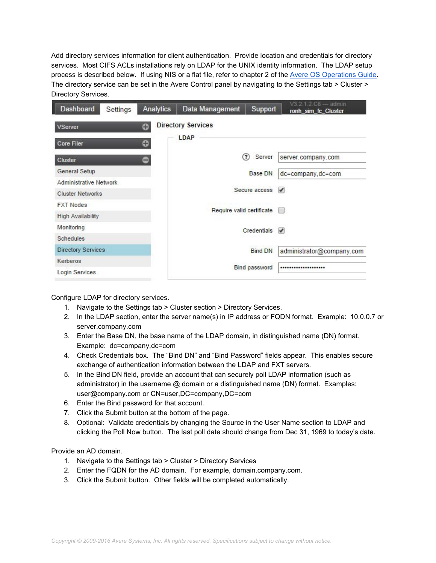Add directory services information for client authentication. Provide location and credentials for directory services. Most CIFS ACLs installations rely on LDAP for the UNIX identity information. The LDAP setup process is described below. If using NIS or a flat file, refer to chapter 2 of the [Avere OS Operations Guide.](https://download.averesystems.com/software/avereos_4.5_ops.pdf) The directory service can be set in the Avere Control panel by navigating to the Settings tab > Cluster > Directory Services.

| <b>Directory Services</b><br>⊕<br><b>VServer</b><br>LDAP<br>٠<br><b>Core Filer</b><br><b>Cluster</b><br>$\qquad \qquad \bullet$<br>General Setup<br><b>Administrative Network</b> |                                             |
|-----------------------------------------------------------------------------------------------------------------------------------------------------------------------------------|---------------------------------------------|
|                                                                                                                                                                                   |                                             |
|                                                                                                                                                                                   |                                             |
|                                                                                                                                                                                   | ?<br>Server<br>server.company.com           |
|                                                                                                                                                                                   | <b>Base DN</b><br>dc=company,dc=com         |
|                                                                                                                                                                                   |                                             |
| <b>Cluster Networks</b>                                                                                                                                                           | Secure access<br>$\overline{\mathcal{L}}$   |
| <b>FXT Nodes</b>                                                                                                                                                                  |                                             |
| <b>High Availability</b>                                                                                                                                                          | Require valid certificate                   |
| Monitoring                                                                                                                                                                        | $C$ redentials $\blacktriangleright$        |
| <b>Schedules</b>                                                                                                                                                                  |                                             |
| <b>Directory Services</b>                                                                                                                                                         | <b>Bind DN</b><br>administrator@company.com |
| Kerberos                                                                                                                                                                          |                                             |
| Login Services                                                                                                                                                                    | <b>Bind password</b><br>                    |

Configure LDAP for directory services.

- 1. Navigate to the Settings tab > Cluster section > Directory Services.
- 2. In the LDAP section, enter the server name(s) in IP address or FQDN format. Example: 10.0.0.7 or server.company.com
- 3. Enter the Base DN, the base name of the LDAP domain, in distinguished name (DN) format. Example: dc=company,dc=com
- 4. Check Credentials box. The "Bind DN" and "Bind Password" fields appear. This enables secure exchange of authentication information between the LDAP and FXT servers.
- 5. In the Bind DN field, provide an account that can securely poll LDAP information (such as administrator) in the username  $@$  domain or a distinguished name (DN) format. Examples: user@company.com or CN=user,DC=company,DC=com
- 6. Enter the Bind password for that account.
- 7. Click the Submit button at the bottom of the page.
- 8. Optional: Validate credentials by changing the Source in the User Name section to LDAP and clicking the Poll Now button. The last poll date should change from Dec 31, 1969 to today's date.

Provide an AD domain.

- 1. Navigate to the Settings tab > Cluster > Directory Services
- 2. Enter the FQDN for the AD domain. For example, domain.company.com.
- 3. Click the Submit button. Other fields will be completed automatically.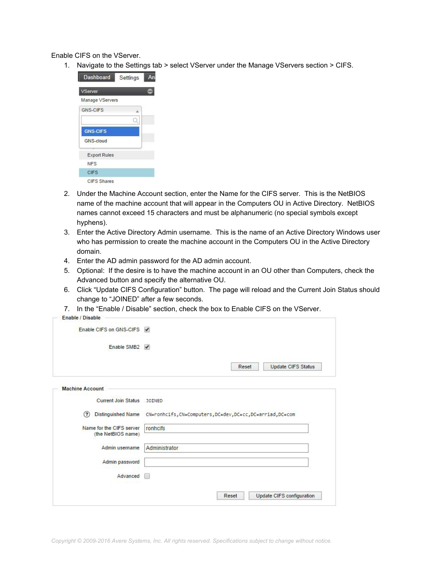Enable CIFS on the VServer.

1. Navigate to the Settings tab > select VServer under the Manage VServers section > CIFS.



- 2. Under the Machine Account section, enter the Name for the CIFS server. This is the NetBIOS name of the machine account that will appear in the Computers OU in Active Directory. NetBIOS names cannot exceed 15 characters and must be alphanumeric (no special symbols except hyphens).
- 3. Enter the Active Directory Admin username. This is the name of an Active Directory Windows user who has permission to create the machine account in the Computers OU in the Active Directory domain.
- 4. Enter the AD admin password for the AD admin account.
- 5. Optional: If the desire is to have the machine account in an OU other than Computers, check the Advanced button and specify the alternative OU.
- 6. Click "Update CIFS Configuration" button. The page will reload and the Current Join Status should change to "JOINED" after a few seconds.
- 7. In the "Enable / Disable" section, check the box to Enable CIFS on the VServer.

| Enable CIFS on GNS-CIFS √                                   |  |
|-------------------------------------------------------------|--|
| Enable SMB <sub>2</sub><br>$\overline{\phantom{a}}$         |  |
| <b>Update CIFS Status</b><br>Reset                          |  |
|                                                             |  |
| JOINED                                                      |  |
| CN=ronhcifs, CN=Computers, DC=dev, DC=cc, DC=arriad, DC=com |  |
| ronhcifs                                                    |  |
| Administrator                                               |  |
|                                                             |  |
|                                                             |  |
|                                                             |  |
|                                                             |  |